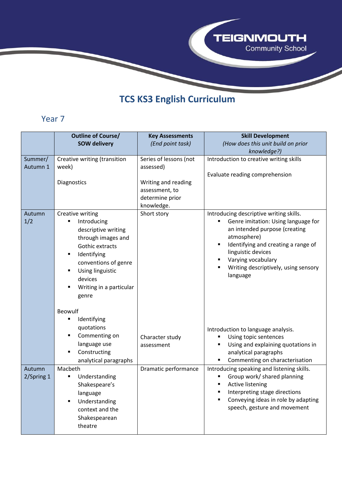

## **TCS KS3 English Curriculum**

## Year 7

|                      | <b>Outline of Course/</b>                                                                                                                                                                                                       | <b>Key Assessments</b>                                                 | <b>Skill Development</b>                                                                                                                                                                                                                                                   |
|----------------------|---------------------------------------------------------------------------------------------------------------------------------------------------------------------------------------------------------------------------------|------------------------------------------------------------------------|----------------------------------------------------------------------------------------------------------------------------------------------------------------------------------------------------------------------------------------------------------------------------|
|                      | <b>SOW delivery</b>                                                                                                                                                                                                             | (End point task)                                                       | (How does this unit build on prior<br>knowledge?)                                                                                                                                                                                                                          |
| Summer/<br>Autumn 1  | Creative writing (transition<br>week)                                                                                                                                                                                           | Series of lessons (not<br>assessed)                                    | Introduction to creative writing skills<br>Evaluate reading comprehension                                                                                                                                                                                                  |
|                      | Diagnostics                                                                                                                                                                                                                     | Writing and reading<br>assessment, to<br>determine prior<br>knowledge. |                                                                                                                                                                                                                                                                            |
| Autumn<br>1/2        | Creative writing<br>Introducing<br>٠<br>descriptive writing<br>through images and<br><b>Gothic extracts</b><br>Identifying<br>٠<br>conventions of genre<br>Using linguistic<br>٠<br>devices<br>Writing in a particular<br>genre | Short story                                                            | Introducing descriptive writing skills.<br>Genre imitation: Using language for<br>an intended purpose (creating<br>atmosphere)<br>Identifying and creating a range of<br>Ξ<br>linguistic devices<br>Varying vocabulary<br>Writing descriptively, using sensory<br>language |
|                      | <b>Beowulf</b><br>Identifying<br>quotations<br>Commenting on<br>language use<br>Constructing<br>analytical paragraphs                                                                                                           | Character study<br>assessment                                          | Introduction to language analysis.<br>Using topic sentences<br>Using and explaining quotations in<br>Е<br>analytical paragraphs<br>Commenting on characterisation<br>٠                                                                                                     |
| Autumn<br>2/Spring 1 | Macbeth<br>Understanding<br>Shakespeare's<br>language<br>Understanding<br>context and the<br>Shakespearean<br>theatre                                                                                                           | Dramatic performance                                                   | Introducing speaking and listening skills.<br>Group work/ shared planning<br><b>Active listening</b><br>п<br>Interpreting stage directions<br>Conveying ideas in role by adapting<br>speech, gesture and movement                                                          |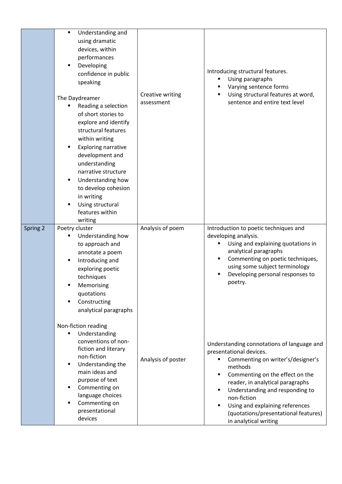|          | Understanding and<br>using dramatic<br>devices, within<br>performances<br>Developing<br>П<br>confidence in public<br>speaking                                                                                                                                                                                                                |                                | Introducing structural features.<br>Using paragraphs<br>Varying sentence forms                                                                                                                                                                                                                                                                                            |
|----------|----------------------------------------------------------------------------------------------------------------------------------------------------------------------------------------------------------------------------------------------------------------------------------------------------------------------------------------------|--------------------------------|---------------------------------------------------------------------------------------------------------------------------------------------------------------------------------------------------------------------------------------------------------------------------------------------------------------------------------------------------------------------------|
|          | The Daydreamer<br>Reading a selection<br>of short stories to<br>explore and identify<br>structural features<br>within writing<br><b>Exploring narrative</b><br>development and<br>understanding<br>narrative structure<br>Understanding how<br>٠<br>to develop cohesion<br>in writing<br>Using structural<br>٠<br>features within<br>writing | Creative writing<br>assessment | Using structural features at word,<br>sentence and entire text level                                                                                                                                                                                                                                                                                                      |
| Spring 2 | Poetry cluster<br>Understanding how<br>to approach and<br>annotate a poem<br>Introducing and<br>exploring poetic<br>techniques<br>Memorising<br>quotations<br>Constructing<br>analytical paragraphs<br>Non-fiction reading                                                                                                                   | Analysis of poem               | Introduction to poetic techniques and<br>developing analysis.<br>Using and explaining quotations in<br>analytical paragraphs<br>Commenting on poetic techniques,<br>٠<br>using some subject terminology<br>Developing personal responses to<br>poetry.                                                                                                                    |
|          | Understanding<br>conventions of non-<br>fiction and literary<br>non-fiction<br>Understanding the<br>٠<br>main ideas and<br>purpose of text<br>Commenting on<br>language choices<br>Commenting on<br>presentational<br>devices                                                                                                                | Analysis of poster             | Understanding connotations of language and<br>presentational devices.<br>Commenting on writer's/designer's<br>methods<br>Commenting on the effect on the<br>$\blacksquare$<br>reader, in analytical paragraphs<br>Understanding and responding to<br>٠<br>non-fiction<br>Using and explaining references<br>(quotations/presentational features)<br>in analytical writing |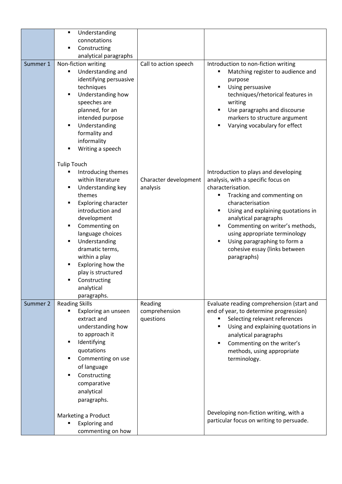|          | Understanding              |                       |                                                      |
|----------|----------------------------|-----------------------|------------------------------------------------------|
|          | connotations               |                       |                                                      |
|          | Constructing               |                       |                                                      |
|          | analytical paragraphs      |                       |                                                      |
| Summer 1 | Non-fiction writing        | Call to action speech | Introduction to non-fiction writing                  |
|          | Understanding and<br>٠     |                       | Matching register to audience and<br>п               |
|          | identifying persuasive     |                       | purpose                                              |
|          | techniques                 |                       | Using persuasive<br>$\blacksquare$                   |
|          | Understanding how          |                       | techniques/rhetorical features in                    |
|          | speeches are               |                       | writing                                              |
|          | planned, for an            |                       | Use paragraphs and discourse<br>٠                    |
|          | intended purpose           |                       | markers to structure argument                        |
|          | Understanding              |                       | Varying vocabulary for effect                        |
|          | formality and              |                       |                                                      |
|          | informality                |                       |                                                      |
|          | Writing a speech           |                       |                                                      |
|          | <b>Tulip Touch</b>         |                       |                                                      |
|          | Introducing themes<br>٠    |                       | Introduction to plays and developing                 |
|          | within literature          | Character development | analysis, with a specific focus on                   |
|          | Understanding key          | analysis              | characterisation.                                    |
|          | themes                     |                       | Tracking and commenting on<br>٠                      |
|          | <b>Exploring character</b> |                       | characterisation                                     |
|          | introduction and           |                       | Using and explaining quotations in<br>$\blacksquare$ |
|          | development                |                       | analytical paragraphs                                |
|          | Commenting on              |                       | Commenting on writer's methods,                      |
|          | language choices           |                       | using appropriate terminology                        |
|          | Understanding<br>٠         |                       | Using paragraphing to form a<br>$\blacksquare$       |
|          | dramatic terms,            |                       | cohesive essay (links between                        |
|          | within a play              |                       | paragraphs)                                          |
|          | Exploring how the          |                       |                                                      |
|          | play is structured         |                       |                                                      |
|          | Constructing               |                       |                                                      |
|          | analytical                 |                       |                                                      |
|          | paragraphs.                |                       |                                                      |
| Summer 2 | <b>Reading Skills</b>      | Reading               | Evaluate reading comprehension (start and            |
|          | Exploring an unseen        | comprehension         | end of year, to determine progression)               |
|          | extract and                | questions             | Selecting relevant references                        |
|          | understanding how          |                       | Using and explaining quotations in<br>$\blacksquare$ |
|          | to approach it             |                       | analytical paragraphs                                |
|          | Identifying                |                       | Commenting on the writer's<br>$\blacksquare$         |
|          | quotations                 |                       | methods, using appropriate                           |
|          | Commenting on use          |                       | terminology.                                         |
|          | of language                |                       |                                                      |
|          | Constructing               |                       |                                                      |
|          | comparative                |                       |                                                      |
|          | analytical                 |                       |                                                      |
|          | paragraphs.                |                       |                                                      |
|          |                            |                       |                                                      |
|          | Marketing a Product        |                       | Developing non-fiction writing, with a               |
|          | <b>Exploring and</b>       |                       | particular focus on writing to persuade.             |
|          | commenting on how          |                       |                                                      |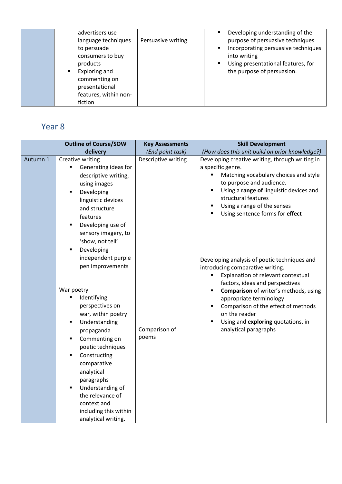| advertisers use<br>language techniques<br>to persuade<br>consumers to buy<br>products<br>Exploring and<br>commenting on<br>presentational<br>features, within non-<br>fiction | Persuasive writing | Developing understanding of the<br>٠<br>purpose of persuasive techniques<br>Incorporating persuasive techniques<br>٠<br>into writing<br>Using presentational features, for<br>٠<br>the purpose of persuasion. |
|-------------------------------------------------------------------------------------------------------------------------------------------------------------------------------|--------------------|---------------------------------------------------------------------------------------------------------------------------------------------------------------------------------------------------------------|
|-------------------------------------------------------------------------------------------------------------------------------------------------------------------------------|--------------------|---------------------------------------------------------------------------------------------------------------------------------------------------------------------------------------------------------------|

## Year 8

|          | <b>Outline of Course/SOW</b>                                                                                                                                                                                                                                                                                                                    | <b>Key Assessments</b> | <b>Skill Development</b>                                                                                                                                                                                                                                                                                                                                                                      |
|----------|-------------------------------------------------------------------------------------------------------------------------------------------------------------------------------------------------------------------------------------------------------------------------------------------------------------------------------------------------|------------------------|-----------------------------------------------------------------------------------------------------------------------------------------------------------------------------------------------------------------------------------------------------------------------------------------------------------------------------------------------------------------------------------------------|
|          | delivery                                                                                                                                                                                                                                                                                                                                        | (End point task)       | (How does this unit build on prior knowledge?)                                                                                                                                                                                                                                                                                                                                                |
| Autumn 1 | Creative writing<br>Generating ideas for<br>٠<br>descriptive writing,<br>using images<br>Developing<br>п<br>linguistic devices<br>and structure<br>features<br>Developing use of<br>٠<br>sensory imagery, to<br>'show, not tell'<br>Developing<br>$\blacksquare$<br>independent purple<br>pen improvements                                      | Descriptive writing    | Developing creative writing, through writing in<br>a specific genre.<br>Matching vocabulary choices and style<br>to purpose and audience.<br>Using a range of linguistic devices and<br>$\blacksquare$<br>structural features<br>Using a range of the senses<br>٠<br>Using sentence forms for effect<br>٠<br>Developing analysis of poetic techniques and<br>introducing comparative writing. |
|          | War poetry<br>Identifying<br>٠<br>perspectives on<br>war, within poetry<br>Understanding<br>٠<br>propaganda<br>Commenting on<br>$\blacksquare$<br>poetic techniques<br>Constructing<br>٠<br>comparative<br>analytical<br>paragraphs<br>Understanding of<br>٠<br>the relevance of<br>context and<br>including this within<br>analytical writing. | Comparison of<br>poems | Explanation of relevant contextual<br>factors, ideas and perspectives<br>Comparison of writer's methods, using<br>appropriate terminology<br>Comparison of the effect of methods<br>on the reader<br>Using and exploring quotations, in<br>analytical paragraphs                                                                                                                              |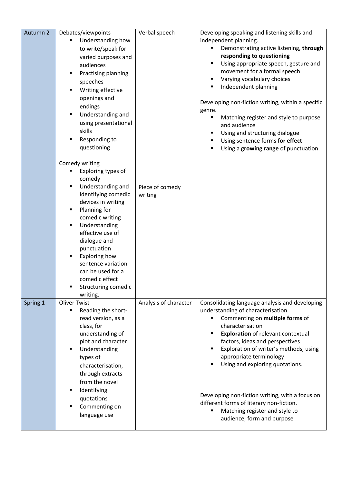| Autumn 2 | Debates/viewpoints                     | Verbal speech         | Developing speaking and listening skills and        |
|----------|----------------------------------------|-----------------------|-----------------------------------------------------|
|          | Understanding how<br>٠                 |                       | independent planning.                               |
|          | to write/speak for                     |                       | Demonstrating active listening, through             |
|          | varied purposes and                    |                       | responding to questioning                           |
|          | audiences                              |                       | Using appropriate speech, gesture and               |
|          | Practising planning<br>п               |                       | movement for a formal speech                        |
|          | speeches                               |                       | Varying vocabulary choices                          |
|          | Writing effective                      |                       | Independent planning                                |
|          | openings and                           |                       |                                                     |
|          | endings                                |                       | Developing non-fiction writing, within a specific   |
|          | ٠                                      |                       | genre.                                              |
|          | Understanding and                      |                       | Matching register and style to purpose              |
|          | using presentational                   |                       | and audience                                        |
|          | skills                                 |                       | Using and structuring dialogue                      |
|          | Responding to                          |                       | Using sentence forms for effect                     |
|          | questioning                            |                       | Using a growing range of punctuation.               |
|          |                                        |                       |                                                     |
|          | Comedy writing<br>Exploring types of   |                       |                                                     |
|          | comedy                                 |                       |                                                     |
|          | Understanding and                      | Piece of comedy       |                                                     |
|          | identifying comedic                    | writing               |                                                     |
|          | devices in writing                     |                       |                                                     |
|          | Planning for<br>٠                      |                       |                                                     |
|          | comedic writing                        |                       |                                                     |
|          | Understanding<br>٠                     |                       |                                                     |
|          | effective use of                       |                       |                                                     |
|          | dialogue and                           |                       |                                                     |
|          | punctuation                            |                       |                                                     |
|          | Exploring how<br>٠                     |                       |                                                     |
|          | sentence variation                     |                       |                                                     |
|          | can be used for a                      |                       |                                                     |
|          | comedic effect                         |                       |                                                     |
|          | Structuring comedic                    |                       |                                                     |
|          | writing.                               |                       |                                                     |
| Spring 1 | <b>Oliver Twist</b>                    | Analysis of character | Consolidating language analysis and developing      |
|          | Reading the short-<br>٠                |                       | understanding of characterisation.                  |
|          | read version, as a                     |                       | Commenting on multiple forms of<br>characterisation |
|          | class, for                             |                       | <b>Exploration</b> of relevant contextual           |
|          | understanding of<br>plot and character |                       | factors, ideas and perspectives                     |
|          | Understanding<br>٠                     |                       | Exploration of writer's methods, using              |
|          | types of                               |                       | appropriate terminology                             |
|          | characterisation,                      |                       | Using and exploring quotations.                     |
|          | through extracts                       |                       |                                                     |
|          | from the novel                         |                       |                                                     |
|          | п                                      |                       |                                                     |
|          | Identifying                            |                       | Developing non-fiction writing, with a focus on     |
|          | quotations                             |                       | different forms of literary non-fiction.            |
|          | Commenting on                          |                       | Matching register and style to                      |
|          | language use                           |                       | audience, form and purpose                          |
|          |                                        |                       |                                                     |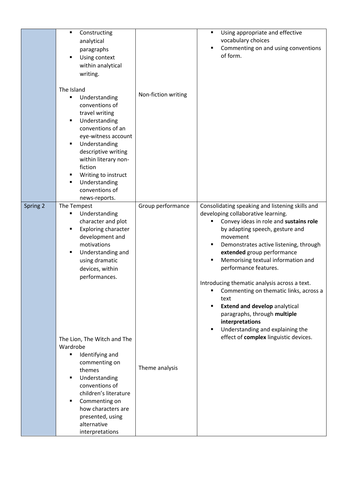|          | Constructing<br>٠<br>analytical<br>paragraphs<br>Using context<br>٠<br>within analytical<br>writing.                                                                                                                                                                                                                     |                     | Using appropriate and effective<br>٠<br>vocabulary choices<br>Commenting on and using conventions<br>of form.                                                                                                                                                                                                                                                                                                                                                                                                                     |
|----------|--------------------------------------------------------------------------------------------------------------------------------------------------------------------------------------------------------------------------------------------------------------------------------------------------------------------------|---------------------|-----------------------------------------------------------------------------------------------------------------------------------------------------------------------------------------------------------------------------------------------------------------------------------------------------------------------------------------------------------------------------------------------------------------------------------------------------------------------------------------------------------------------------------|
|          | The Island<br>Understanding<br>п<br>conventions of<br>travel writing<br>Understanding<br>٠<br>conventions of an<br>eye-witness account<br>Understanding<br>$\blacksquare$<br>descriptive writing<br>within literary non-<br>fiction<br>Writing to instruct<br>٠<br>Understanding<br>٠<br>conventions of<br>news-reports. | Non-fiction writing |                                                                                                                                                                                                                                                                                                                                                                                                                                                                                                                                   |
| Spring 2 | The Tempest<br>Understanding<br>٠<br>character and plot<br><b>Exploring character</b><br>٠<br>development and<br>motivations<br>Understanding and<br>٠<br>using dramatic<br>devices, within<br>performances.                                                                                                             | Group performance   | Consolidating speaking and listening skills and<br>developing collaborative learning.<br>Convey ideas in role and sustains role<br>٠<br>by adapting speech, gesture and<br>movement<br>Demonstrates active listening, through<br>٠<br>extended group performance<br>Memorising textual information and<br>performance features.<br>Introducing thematic analysis across a text.<br>Commenting on thematic links, across a<br>text<br><b>Extend and develop analytical</b><br>٠<br>paragraphs, through multiple<br>interpretations |
|          | The Lion, The Witch and The<br>Wardrobe<br>Identifying and<br>٠<br>commenting on<br>themes<br>Understanding<br>٠<br>conventions of<br>children's literature<br>Commenting on<br>٠<br>how characters are<br>presented, using<br>alternative<br>interpretations                                                            | Theme analysis      | Understanding and explaining the<br>٠<br>effect of complex linguistic devices.                                                                                                                                                                                                                                                                                                                                                                                                                                                    |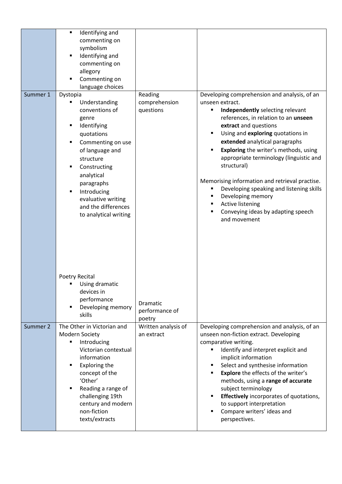| Summer 1 | Identifying and<br>$\blacksquare$<br>commenting on<br>symbolism<br>Identifying and<br>٠<br>commenting on<br>allegory<br>Commenting on<br>٠<br>language choices<br>Dystopia<br>Understanding<br>٠<br>conventions of<br>genre<br>Identifying<br>٠<br>quotations<br>Commenting on use<br>٠<br>of language and<br>structure<br>Constructing<br>$\blacksquare$<br>analytical<br>paragraphs<br>Introducing<br>٠<br>evaluative writing<br>and the differences<br>to analytical writing | Reading<br>comprehension<br>questions | Developing comprehension and analysis, of an<br>unseen extract.<br>Independently selecting relevant<br>٠<br>references, in relation to an unseen<br>extract and questions<br>Using and exploring quotations in<br>extended analytical paragraphs<br>Exploring the writer's methods, using<br>appropriate terminology (linguistic and<br>structural)<br>Memorising information and retrieval practise.<br>Developing speaking and listening skills<br>Developing memory<br><b>Active listening</b><br>Conveying ideas by adapting speech<br>and movement |
|----------|---------------------------------------------------------------------------------------------------------------------------------------------------------------------------------------------------------------------------------------------------------------------------------------------------------------------------------------------------------------------------------------------------------------------------------------------------------------------------------|---------------------------------------|---------------------------------------------------------------------------------------------------------------------------------------------------------------------------------------------------------------------------------------------------------------------------------------------------------------------------------------------------------------------------------------------------------------------------------------------------------------------------------------------------------------------------------------------------------|
|          | Poetry Recital<br>Using dramatic<br>devices in<br>performance<br>Developing memory<br>٠<br>skills                                                                                                                                                                                                                                                                                                                                                                               | Dramatic<br>performance of<br>poetry  |                                                                                                                                                                                                                                                                                                                                                                                                                                                                                                                                                         |
| Summer 2 | The Other in Victorian and<br>Modern Society<br>Introducing<br>п<br>Victorian contextual<br>information<br>Exploring the<br>٠<br>concept of the<br>'Other'<br>Reading a range of<br>٠<br>challenging 19th<br>century and modern<br>non-fiction<br>texts/extracts                                                                                                                                                                                                                | Written analysis of<br>an extract     | Developing comprehension and analysis, of an<br>unseen non-fiction extract. Developing<br>comparative writing.<br>Identify and interpret explicit and<br>implicit information<br>Select and synthesise information<br>٠<br><b>Explore</b> the effects of the writer's<br>٠<br>methods, using a range of accurate<br>subject terminology<br>Effectively incorporates of quotations,<br>٠<br>to support interpretation<br>Compare writers' ideas and<br>perspectives.                                                                                     |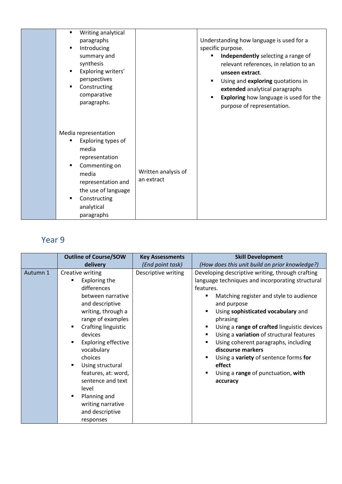| Writing analytical<br>$\blacksquare$<br>paragraphs<br>Introducing<br>$\blacksquare$<br>summary and<br>synthesis<br>Exploring writers'<br>$\blacksquare$<br>perspectives<br>Constructing<br>$\blacksquare$<br>comparative<br>paragraphs. |                                   | Understanding how language is used for a<br>specific purpose.<br>Independently selecting a range of<br>relevant references, in relation to an<br>unseen extract.<br>Using and exploring quotations in<br>extended analytical paragraphs<br><b>Exploring</b> how language is used for the<br>purpose of representation. |
|-----------------------------------------------------------------------------------------------------------------------------------------------------------------------------------------------------------------------------------------|-----------------------------------|------------------------------------------------------------------------------------------------------------------------------------------------------------------------------------------------------------------------------------------------------------------------------------------------------------------------|
| Media representation<br>Exploring types of<br>٠<br>media<br>representation<br>Commenting on<br>٠<br>media<br>representation and<br>the use of language<br>Constructing<br>$\blacksquare$<br>analytical<br>paragraphs                    | Written analysis of<br>an extract |                                                                                                                                                                                                                                                                                                                        |

## Year 9

|          | <b>Outline of Course/SOW</b>                                                                                                                                                                                                                                                                                                                                               | <b>Key Assessments</b> | <b>Skill Development</b>                                                                                                                                                                                                                                                                                                                                                                                                                                                                                                                 |
|----------|----------------------------------------------------------------------------------------------------------------------------------------------------------------------------------------------------------------------------------------------------------------------------------------------------------------------------------------------------------------------------|------------------------|------------------------------------------------------------------------------------------------------------------------------------------------------------------------------------------------------------------------------------------------------------------------------------------------------------------------------------------------------------------------------------------------------------------------------------------------------------------------------------------------------------------------------------------|
|          | delivery                                                                                                                                                                                                                                                                                                                                                                   | (End point task)       | (How does this unit build on prior knowledge?)                                                                                                                                                                                                                                                                                                                                                                                                                                                                                           |
| Autumn 1 | Creative writing<br>Exploring the<br>differences<br>between narrative<br>and descriptive<br>writing, through a<br>range of examples<br>Crafting linguistic<br>devices<br><b>Exploring effective</b><br>vocabulary<br>choices<br>Using structural<br>features, at: word,<br>sentence and text<br>level<br>Planning and<br>writing narrative<br>and descriptive<br>responses | Descriptive writing    | Developing descriptive writing, through crafting<br>language techniques and incorporating structural<br>features.<br>Matching register and style to audience<br>and purpose<br>Using sophisticated vocabulary and<br>п<br>phrasing<br>Using a range of crafted linguistic devices<br>$\blacksquare$<br>Using a variation of structural features<br>Using coherent paragraphs, including<br>$\blacksquare$<br>discourse markers<br>Using a variety of sentence forms for<br>Е<br>effect<br>Using a range of punctuation, with<br>accuracy |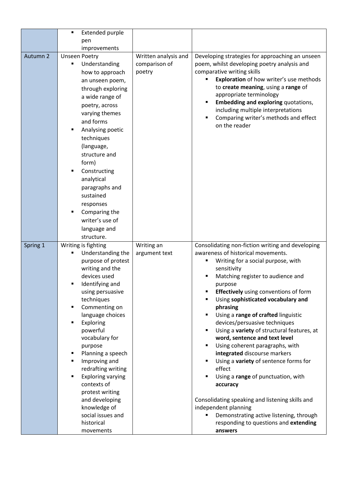|          | Extended purple                   |                             |                                                                                        |
|----------|-----------------------------------|-----------------------------|----------------------------------------------------------------------------------------|
|          | pen                               |                             |                                                                                        |
|          | improvements                      |                             |                                                                                        |
| Autumn 2 | <b>Unseen Poetry</b>              | Written analysis and        | Developing strategies for approaching an unseen                                        |
|          | Understanding                     | comparison of               | poem, whilst developing poetry analysis and                                            |
|          | how to approach                   | poetry                      | comparative writing skills                                                             |
|          | an unseen poem,                   |                             | Exploration of how writer's use methods                                                |
|          | through exploring                 |                             | to create meaning, using a range of                                                    |
|          | a wide range of                   |                             | appropriate terminology                                                                |
|          | poetry, across                    |                             | <b>Embedding and exploring quotations,</b><br>Ξ                                        |
|          | varying themes                    |                             | including multiple interpretations                                                     |
|          | and forms                         |                             | Comparing writer's methods and effect                                                  |
|          | Analysing poetic                  |                             | on the reader                                                                          |
|          | techniques                        |                             |                                                                                        |
|          | (language,                        |                             |                                                                                        |
|          | structure and                     |                             |                                                                                        |
|          | form)                             |                             |                                                                                        |
|          | Constructing<br>$\blacksquare$    |                             |                                                                                        |
|          | analytical                        |                             |                                                                                        |
|          | paragraphs and                    |                             |                                                                                        |
|          | sustained                         |                             |                                                                                        |
|          | responses                         |                             |                                                                                        |
|          | Comparing the<br>٠                |                             |                                                                                        |
|          | writer's use of                   |                             |                                                                                        |
|          | language and                      |                             |                                                                                        |
|          | structure.                        |                             |                                                                                        |
|          | Writing is fighting               |                             |                                                                                        |
| Spring 1 | Understanding the                 | Writing an<br>argument text | Consolidating non-fiction writing and developing<br>awareness of historical movements. |
|          | purpose of protest                |                             | Writing for a social purpose, with<br>Е                                                |
|          | writing and the                   |                             | sensitivity                                                                            |
|          | devices used                      |                             | Matching register to audience and                                                      |
|          | Identifying and                   |                             | purpose                                                                                |
|          | using persuasive                  |                             | <b>Effectively</b> using conventions of form<br>п                                      |
|          | techniques                        |                             | Using sophisticated vocabulary and                                                     |
|          | Commenting on<br>٠                |                             | phrasing                                                                               |
|          | language choices                  |                             | Using a range of crafted linguistic<br>Ξ                                               |
|          | Exploring<br>$\blacksquare$       |                             | devices/persuasive techniques                                                          |
|          | powerful                          |                             | Using a variety of structural features, at<br>Ξ                                        |
|          | vocabulary for                    |                             | word, sentence and text level                                                          |
|          | purpose                           |                             | Using coherent paragraphs, with<br>Ξ                                                   |
|          | Planning a speech<br>٠            |                             | integrated discourse markers                                                           |
|          | Improving and                     |                             | Using a variety of sentence forms for<br>Ξ                                             |
|          | redrafting writing                |                             | effect                                                                                 |
|          | <b>Exploring varying</b>          |                             | Using a range of punctuation, with                                                     |
|          | contexts of                       |                             | accuracy                                                                               |
|          | protest writing                   |                             |                                                                                        |
|          | and developing                    |                             | Consolidating speaking and listening skills and                                        |
|          | knowledge of<br>social issues and |                             | independent planning<br>Demonstrating active listening, through                        |
|          | historical                        |                             | responding to questions and extending                                                  |
|          | movements                         |                             | answers                                                                                |
|          |                                   |                             |                                                                                        |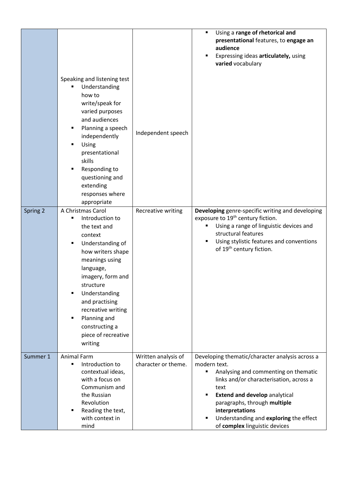|          |                                                                                                                                                                                                                                                                                                                  |                                            | Using a range of rhetorical and<br>$\blacksquare$<br>presentational features, to engage an<br>audience<br>Expressing ideas articulately, using<br>п<br>varied vocabulary                                                                                                                                                                                |
|----------|------------------------------------------------------------------------------------------------------------------------------------------------------------------------------------------------------------------------------------------------------------------------------------------------------------------|--------------------------------------------|---------------------------------------------------------------------------------------------------------------------------------------------------------------------------------------------------------------------------------------------------------------------------------------------------------------------------------------------------------|
|          | Speaking and listening test<br>Understanding<br>how to<br>write/speak for<br>varied purposes<br>and audiences<br>Planning a speech<br>independently<br>Using<br>presentational<br>skills<br>Responding to<br>questioning and<br>extending<br>responses where<br>appropriate                                      | Independent speech                         |                                                                                                                                                                                                                                                                                                                                                         |
| Spring 2 | A Christmas Carol<br>Introduction to<br>the text and<br>context<br>Understanding of<br>٠<br>how writers shape<br>meanings using<br>language,<br>imagery, form and<br>structure<br>Understanding<br>and practising<br>recreative writing<br>Planning and<br>п<br>constructing a<br>piece of recreative<br>writing | Recreative writing                         | Developing genre-specific writing and developing<br>exposure to 19 <sup>th</sup> century fiction.<br>Using a range of linguistic devices and<br>٠<br>structural features<br>Using stylistic features and conventions<br>of 19 <sup>th</sup> century fiction.                                                                                            |
| Summer 1 | <b>Animal Farm</b><br>Introduction to<br>٠<br>contextual ideas,<br>with a focus on<br>Communism and<br>the Russian<br>Revolution<br>Reading the text,<br>with context in<br>mind                                                                                                                                 | Written analysis of<br>character or theme. | Developing thematic/character analysis across a<br>modern text.<br>Analysing and commenting on thematic<br>links and/or characterisation, across a<br>text<br><b>Extend and develop analytical</b><br>$\blacksquare$<br>paragraphs, through multiple<br>interpretations<br>Understanding and exploring the effect<br>٠<br>of complex linguistic devices |